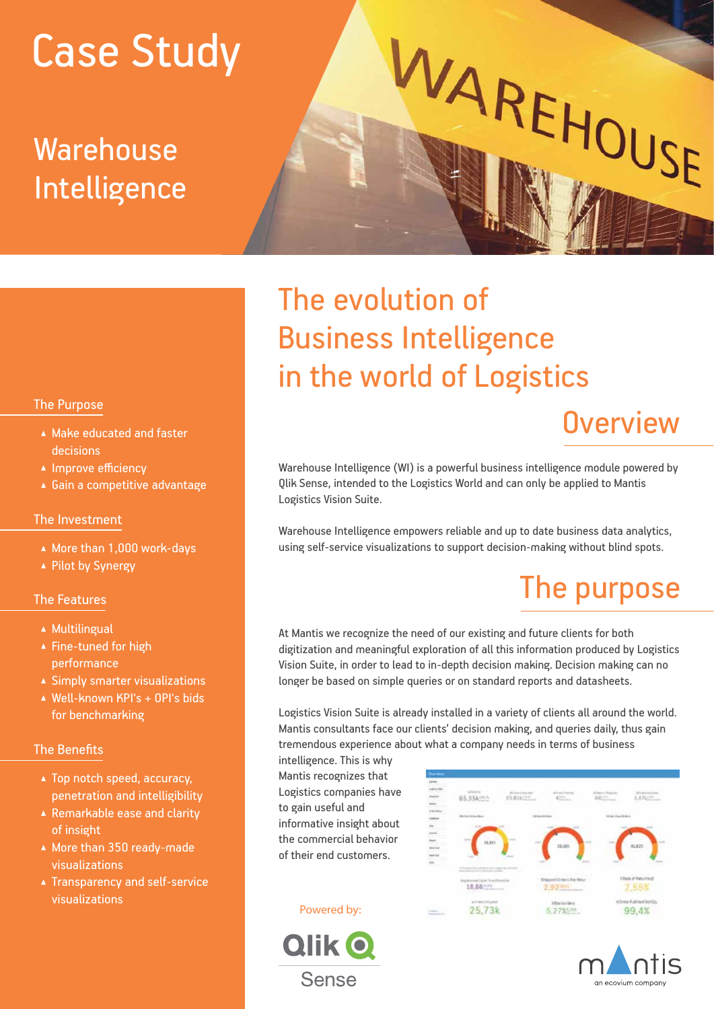# Case Study

# Warehouse Intelligence

# The evolution of Business Intelligence in the world of Logistics

### **Overview**

Warehouse Intelligence (WI) is a powerful business intelligence module powered by Qlik Sense, intended to the Logistics World and can only be applied to Mantis Logistics Vision Suite.

WAREHOUSE

Warehouse Intelligence empowers reliable and up to date business data analytics, using self-service visualizations to support decision-making without blind spots.

# The purpose

At Mantis we recognize the need of our existing and future clients for both digitization and meaningful exploration of all this information produced by Logistics Vision Suite, in order to lead to in-depth decision making. Decision making can no longer be based on simple queries or on standard reports and datasheets.

Logistics Vision Suite is already installed in a variety of clients all around the world. Mantis consultants face our clients' decision making, and queries daily, thus gain tremendous experience about what a company needs in terms of business

intelligence. This is why Mantis recognizes that Logistics companies have to gain useful and informative insight about the commercial behavior of their end customers.

#### Powered by:







#### The Purpose

- ▲ Make educated and faster decisions
- ▲ Improve efficiency
- Gain a competitive advantage

#### The Investment

- ▲ More than 1,000 work-days
- ▲ Pilot by Synergy

#### The Features

- **A** Multilingual
- ▲ Fine-tuned for high performance
- Simply smarter visualizations
- Well-known KPI's + OPI's bids for benchmarking

#### The Benefits

- ▲ Top notch speed, accuracy, penetration and intelligibility
- Remarkable ease and clarity of insight
- ▲ More than 350 ready-made visualizations
- **A** Transparency and self-service visualizations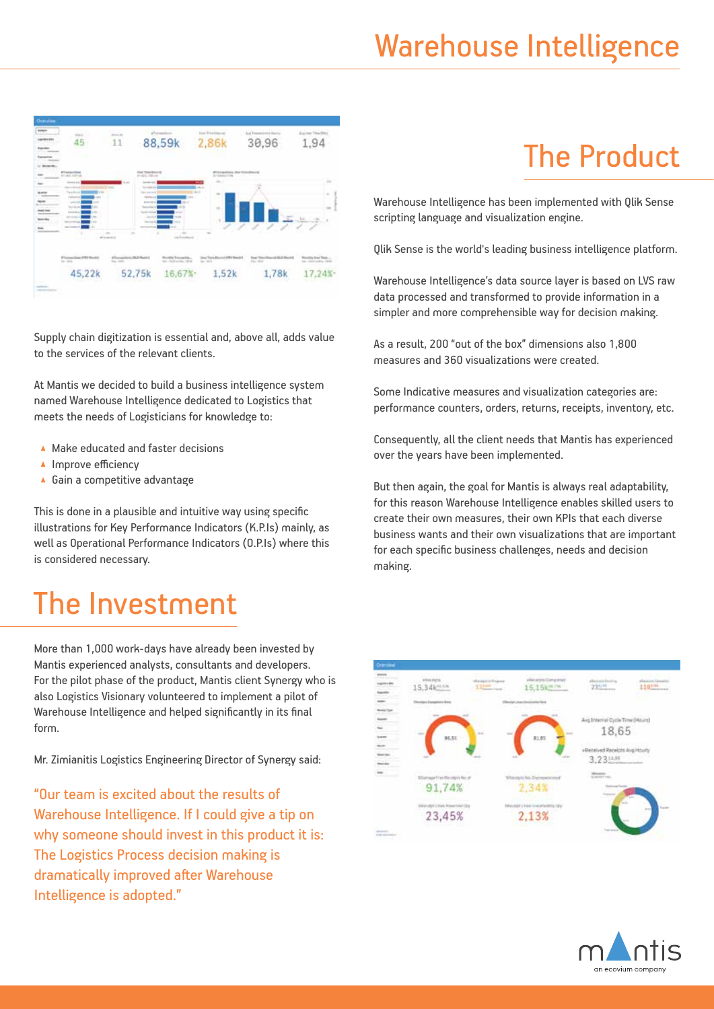

Supply chain digitization is essential and, above all, adds value to the services of the relevant clients.

At Mantis we decided to build a business intelligence system named Warehouse Intelligence dedicated to Logistics that meets the needs of Logisticians for knowledge to:

- ▲ Make educated and faster decisions
- ▲ Improve efficiency
- ▲ Gain a competitive advantage

This is done in a plausible and intuitive way using specific illustrations for Key Performance Indicators (K.P.Is) mainly, as well as Operational Performance Indicators (O.P.Is) where this is considered necessary.

# The Investment

More than 1,000 work-days have already been invested by Mantis experienced analysts, consultants and developers. For the pilot phase of the product, Mantis client Synergy who is also Logistics Visionary volunteered to implement a pilot of Warehouse Intelligence and helped significantly in its final form.

Mr. Zimianitis Logistics Engineering Director of Synergy said:

"Our team is excited about the results of Warehouse Intelligence. If I could give a tip on why someone should invest in this product it is: The Logistics Process decision making is dramatically improved after Warehouse Intelligence is adopted."

# The Product

Warehouse Intelligence has been implemented with Qlik Sense scripting language and visualization engine.

Qlik Sense is the world's leading business intelligence platform.

Warehouse Intelligence's data source layer is based on LVS raw data processed and transformed to provide information in a simpler and more comprehensible way for decision making.

As a result, 200 "out of the box" dimensions also 1,800 measures and 360 visualizations were created.

Some Indicative measures and visualization categories are: performance counters, orders, returns, receipts, inventory, etc.

Consequently, all the client needs that Mantis has experienced over the years have been implemented.

But then again, the goal for Mantis is always real adaptability, for this reason Warehouse Intelligence enables skilled users to create their own measures, their own KPIs that each diverse business wants and their own visualizations that are important for each specific business challenges, needs and decision making.



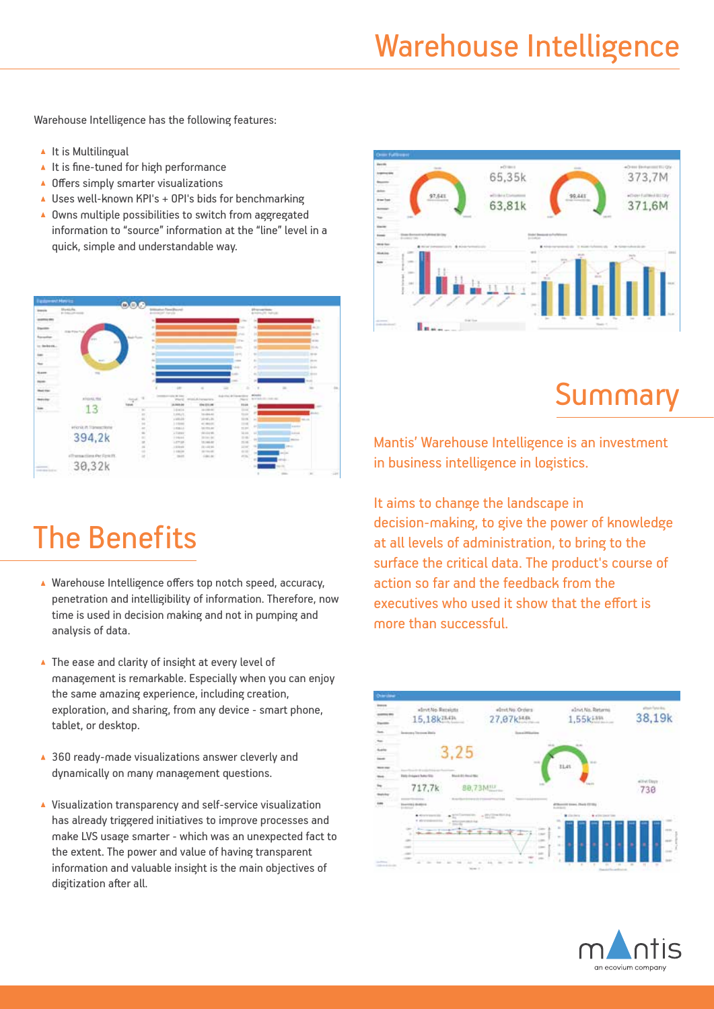### Warehouse Intelligence

Warehouse Intelligence has the following features:

- $\blacktriangle$  It is Multilingual
- $\blacktriangle$  It is fine-tuned for high performance
- ▲ Offers simply smarter visualizations
- ▲ Uses well-known KPI's + 0PI's bids for benchmarking
- ▲ Owns multiple possibilities to switch from aggregated information to "source" information at the "line" level in a quick, simple and understandable way.



### The Benefits

- ▲ Warehouse Intelligence offers top notch speed, accuracy, penetration and intelligibility of information. Therefore, now time is used in decision making and not in pumping and analysis of data.
- ▲ The ease and clarity of insight at every level of management is remarkable. Especially when you can enjoy the same amazing experience, including creation, exploration, and sharing, from any device - smart phone, tablet, or desktop.
- ▲ 360 ready-made visualizations answer cleverly and dynamically on many management questions.
- Visualization transparency and self-service visualization has already triggered initiatives to improve processes and make LVS usage smarter - which was an unexpected fact to the extent. The power and value of having transparent information and valuable insight is the main objectives of digitization after all.



### **Summary**

Mantis' Warehouse Intelligence is an investment in business intelligence in logistics.

It aims to change the landscape in decision-making, to give the power of knowledge at all levels of administration, to bring to the surface the critical data. The product's course of action so far and the feedback from the executives who used it show that the effort is more than successful.



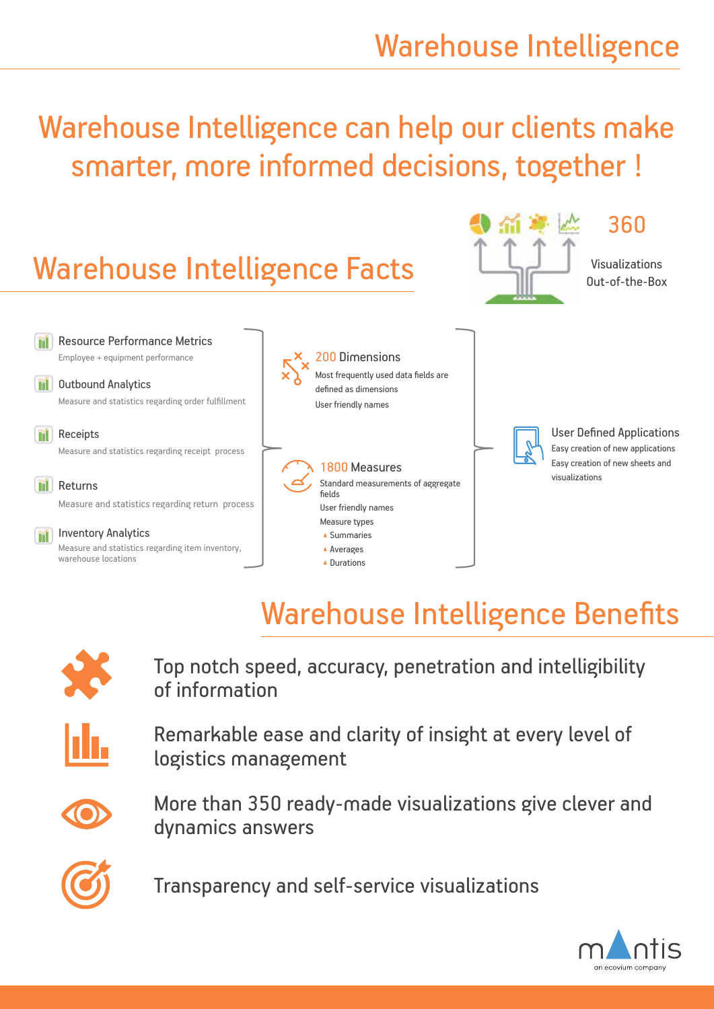Warehouse Intelligence can help our clients make smarter, more informed decisions, together !



### Warehouse Intelligence Benefits



Top notch speed, accuracy, penetration and intelligibility of information



Remarkable ease and clarity of insight at every level of logistics management



More than 350 ready-made visualizations give clever and dynamics answers



Transparency and self-service visualizations